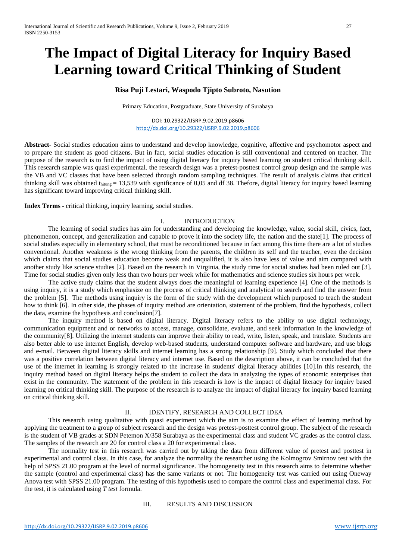# **The Impact of Digital Literacy for Inquiry Based Learning toward Critical Thinking of Student**

# **Risa Puji Lestari, Waspodo Tjipto Subroto, Nasution**

Primary Education, Postgraduate, State University of Surabaya

DOI: 10.29322/IJSRP.9.02.2019.p8606 <http://dx.doi.org/10.29322/IJSRP.9.02.2019.p8606>

**Abstract-** Social studies education aims to understand and develop knowledge, cognitive, affective and psychomotor aspect and to prepare the student as good citizens. But in fact, social studies education is still conventional and centered on teacher. The purpose of the research is to find the impact of using digital literacy for inquiry based learning on student critical thinking skill. This research sample was quasi experimental. the research design was a pretest-posttest control group design and the sample was the VB and VC classes that have been selected through random sampling techniques. The result of analysis claims that critical thinking skill was obtained thitung = 13,539 with significance of 0,05 and df 38. Thefore, digital literacy for inquiry based learning has significant toward improving critical thinking skill.

**Index Terms -** critical thinking, inquiry learning, social studies.

# I. INTRODUCTION

The learning of social studies has aim for understanding and developing the knowledge, value, social skill, civics, fact, phenomenon, concept, and generalization and capable to prove it into the society life, the nation and the state[1]. The process of social studies especially in elementary school, that must be reconditioned because in fact among this time there are a lot of studies conventional. Another weakness is the wrong thinking from the parents, the children its self and the teacher, even the decision which claims that social studies education become weak and unqualified, it is also have less of value and aim compared with another study like science studies [2]. Based on the research in Virginia, the study time for social studies had been ruled out [3]. Time for social studies given only less than two hours per week while for mathematics and science studies six hours per week.

The active study claims that the student always does the meaningful of learning experience [4]. One of the methods is using inquiry, it is a study which emphasize on the process of critical thinking and analytical to search and find the answer from the problem [5]. The methods using inquiry is the form of the study with the development which purposed to teach the student how to think [6]. In other side, the phases of inquiry method are orientation, statement of the problem, find the hypothesis, collect the data, examine the hypothesis and conclusion[7].

The inquiry method is based on digital literacy. Digital literacy refers to the ability to use digital technology, communication equipment and or networks to access, manage, consolidate, evaluate, and seek information in the knowledge of the community[8]. Utilizing the internet students can improve their ability to read, write, listen, speak, and translate. Students are also better able to use internet English, develop web-based students, understand computer software and hardware, and use blogs and e-mail. Between digital literacy skills and internet learning has a strong relationship [9]. Study which concluded that there was a positive correlation between digital literacy and internet use. Based on the description above, it can be concluded that the use of the internet in learning is strongly related to the increase in students' digital literacy abilities [10].In this research, the inquiry method based on digital literacy helps the student to collect the data in analyzing the types of economic enterprises that exist in the community. The statement of the problem in this research is how is the impact of digital literacy for inquiry based learning on critical thinking skill. The purpose of the research is to analyze the impact of digital literacy for inquiry based learning on critical thinking skill.

# II. IDENTIFY, RESEARCH AND COLLECT IDEA

This research using qualitative with quasi experiment which the aim is to examine the effect of learning method by applying the treatment to a group of subject research and the design was pretest-posttest control group. The subject of the research is the student of VB grades at SDN Petemon X/358 Surabaya as the experimental class and student VC grades as the control class. The samples of the research are 20 for control class a 20 for experimental class.

The normality test in this research was carried out by taking the data from different value of pretest and posttest in experimental and control class. In this case, for analyze the normality the researcher using the Kolmogrov Smirnov test with the help of SPSS 21.00 program at the level of normal significance. The homogeneity test in this research aims to determine whether the sample (control and experimental class) has the same variants or not. The homogeneity test was carried out using Oneway Anova test with SPSS 21.00 program. The testing of this hypothesis used to compare the control class and experimental class. For the test, it is calculated using *T test* formula.

# III. RESULTS AND DISCUSSION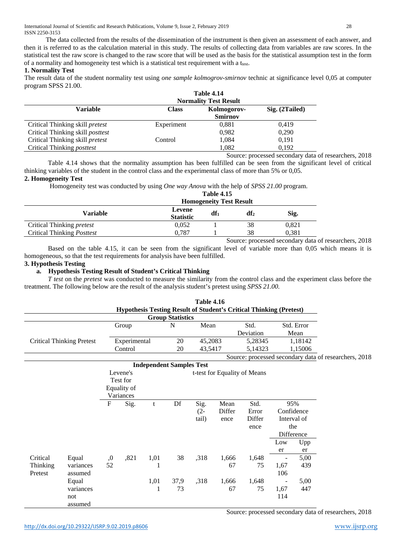The data collected from the results of the dissemination of the instrument is then given an assessment of each answer, and then it is referred to as the calculation material in this study. The results of collecting data from variables are raw scores. In the statistical test the raw score is changed to the raw score that will be used as the basis for the statistical assumption test in the form of a normality and homogeneity test which is a statistical test requirement with a t<sub>test</sub>.

# **1. Normality Test**

The result data of the student normality test using *one sample kolmogrov-smirnov* technic at significance level 0,05 at computer program SPSS 21.00.

|                                         | <b>Table 4.14</b><br><b>Normality Test Result</b> |                               |                |  |  |  |  |  |
|-----------------------------------------|---------------------------------------------------|-------------------------------|----------------|--|--|--|--|--|
| Variable                                | <b>Class</b>                                      | Kolmogorov-<br><b>Smirnov</b> | Sig. (2Tailed) |  |  |  |  |  |
| Critical Thinking skill <i>pretest</i>  | Experiment                                        | 0,881                         | 0.419          |  |  |  |  |  |
| Critical Thinking skill <i>posttest</i> |                                                   | 0.982                         | 0,290          |  |  |  |  |  |
| Critical Thinking skill <i>pretest</i>  | Control                                           | 1,084                         | 0.191          |  |  |  |  |  |
| Critical Thinking <i>posttest</i>       |                                                   | 1,082                         | 0.192          |  |  |  |  |  |

Source: processed secondary data of researchers, 2018

Table 4.14 shows that the normality assumption has been fulfilled can be seen from the significant level of critical thinking variables of the student in the control class and the experimental class of more than 5% or 0,05.

# **2. Homogeneity Test**

Homogeneity test was conducted by using *One way Anova* with the help of *SPSS 21.00* program.

|                                   | <b>Table 4.15</b><br><b>Homogeneity Test Result</b> |        |    |       |  |  |  |  |
|-----------------------------------|-----------------------------------------------------|--------|----|-------|--|--|--|--|
| Variable                          | Levene<br>df1<br>Sig.<br>$df_2$<br><b>Statistic</b> |        |    |       |  |  |  |  |
| Critical Thinking <i>pretest</i>  | 0,052                                               |        | 38 | 0,821 |  |  |  |  |
| Critical Thinking <i>Posttest</i> | 0.787                                               |        | 38 | 0,381 |  |  |  |  |
|                                   |                                                     | $\sim$ |    | . .   |  |  |  |  |

Source: processed secondary data of researchers, 2018

Based on the table 4.15, it can be seen from the significant level of variable more than 0,05 which means it is homogeneous, so that the test requirements for analysis have been fulfilled.

# **3. Hypothesis Testing**

# **a. Hypothesis Testing Result of Student's Critical Thinking**

*T* test on the *pretest* was conducted to measure the similarity from the control class and the experiment class before the treatment. The following below are the result of the analysis student's pretest using *SPSS 21.00.*

|          |                                  |             |                    |      |                                 | <b>Table 4.16</b> |                                                       | <b>Hypothesis Testing Result of Student's Critical Thinking (Pretest)</b> |                          |             |  |
|----------|----------------------------------|-------------|--------------------|------|---------------------------------|-------------------|-------------------------------------------------------|---------------------------------------------------------------------------|--------------------------|-------------|--|
|          |                                  |             |                    |      | <b>Group Statistics</b>         |                   |                                                       |                                                                           |                          |             |  |
|          |                                  |             | Group              |      | N                               | Mean              |                                                       | Std.                                                                      |                          | Std. Error  |  |
|          |                                  |             |                    |      |                                 |                   |                                                       | Deviation                                                                 |                          | Mean        |  |
|          | <b>Critical Thinking Pretest</b> |             | Experimental<br>20 |      | 45,2083                         |                   |                                                       | 1,18142<br>5,28345                                                        |                          |             |  |
|          |                                  | Control     |                    |      | 20                              | 43,5417           |                                                       | 5,14323                                                                   |                          | 1,15006     |  |
|          |                                  |             |                    |      |                                 |                   | Source: processed secondary data of researchers, 2018 |                                                                           |                          |             |  |
|          |                                  |             |                    |      | <b>Independent Samples Test</b> |                   |                                                       |                                                                           |                          |             |  |
|          |                                  |             | Levene's           |      |                                 |                   |                                                       | t-test for Equality of Means                                              |                          |             |  |
|          |                                  |             | Test for           |      |                                 |                   |                                                       |                                                                           |                          |             |  |
|          |                                  |             | Equality of        |      |                                 |                   |                                                       |                                                                           |                          |             |  |
|          |                                  |             | Variances          |      |                                 |                   |                                                       |                                                                           |                          |             |  |
|          |                                  | $\mathbf F$ | Sig.               | t    | Df                              | Sig.              | Mean                                                  | Std.                                                                      |                          | 95%         |  |
|          |                                  |             |                    |      |                                 | $(2 -$            | Differ                                                | Error                                                                     |                          | Confidence  |  |
|          |                                  |             |                    |      |                                 | tail)             | ence                                                  | Differ                                                                    |                          | Interval of |  |
|          |                                  |             |                    |      |                                 |                   |                                                       | ence                                                                      |                          | the         |  |
|          |                                  |             |                    |      |                                 |                   |                                                       |                                                                           |                          | Difference  |  |
|          |                                  |             |                    |      |                                 |                   |                                                       |                                                                           | Low                      | Upp         |  |
|          |                                  |             |                    |      |                                 |                   |                                                       |                                                                           | er                       | er          |  |
| Critical | Equal                            | ,0          | ,821               | 1,01 | 38                              | ,318              | 1,666                                                 | 1,648                                                                     | $\overline{\phantom{0}}$ | 5,00        |  |
| Thinking | variances                        | 52          |                    | 1    |                                 |                   | 67                                                    | 75                                                                        | 1,67                     | 439         |  |
| Pretest  | assumed                          |             |                    |      |                                 |                   |                                                       |                                                                           | 106                      |             |  |
|          | Equal                            |             |                    | 1,01 | 37,9                            | ,318              | 1,666                                                 | 1,648                                                                     | ۰                        | 5,00        |  |
|          | variances                        |             |                    | 1    | 73                              |                   | 67                                                    | 75                                                                        | 1,67                     | 447         |  |
|          | not                              |             |                    |      |                                 |                   |                                                       |                                                                           | 114                      |             |  |
|          | assumed                          |             |                    |      |                                 |                   |                                                       |                                                                           |                          |             |  |

Source: processed secondary data of researchers, 2018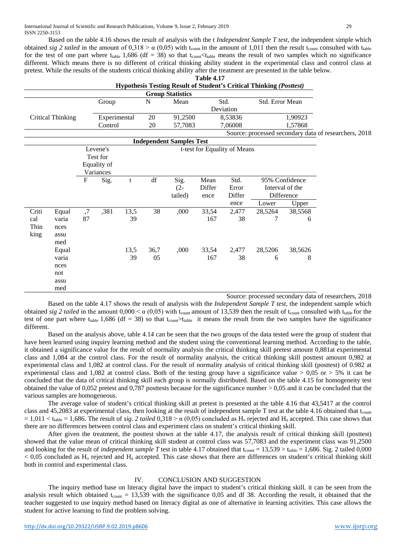Based on the table 4.16 shows the result of analysis with the t *Independent Sample T test,* the independent simple which obtained *sig 2 tailed* in the amount of  $0.318 > \alpha$  (0.05) with t<sub>count</sub> in the amount of 1.011 then the result t<sub>count</sub> consulted with t<sub>table</sub> for the test of one part where t<sub>table</sub> 1,686 (df = 38) so that t<sub>count</sub> t<sub>table</sub> means the result of two samples which no significance different. Which means there is no different of critical thinking ability student in the experimental class and control class at pretest. While the results of the students critical thinking ability after the treatment are presented in the table below.

|                          |       |              |             |      |         |                                 | <b>Table 4.17</b> |                              |                                                                     |                 |                                                       |
|--------------------------|-------|--------------|-------------|------|---------|---------------------------------|-------------------|------------------------------|---------------------------------------------------------------------|-----------------|-------------------------------------------------------|
|                          |       |              |             |      |         |                                 |                   |                              | Hypothesis Testing Result of Student's Critical Thinking (Posttest) |                 |                                                       |
|                          |       |              |             |      |         | <b>Group Statistics</b>         |                   |                              |                                                                     |                 |                                                       |
|                          |       |              | Group       |      | N       | Mean                            |                   | Std.                         | Std. Error Mean                                                     |                 |                                                       |
|                          |       |              |             |      |         |                                 |                   | Deviation                    |                                                                     |                 |                                                       |
| <b>Critical Thinking</b> |       | Experimental |             |      | 20      | 91,2500                         |                   | 8,53836                      |                                                                     | 1,90923         |                                                       |
|                          |       |              | Control     |      | 20      | 57,7083                         | 7,06008           |                              | 1,57868                                                             |                 |                                                       |
|                          |       |              |             |      |         |                                 |                   |                              |                                                                     |                 | Source: processed secondary data of researchers, 2018 |
|                          |       |              |             |      |         | <b>Independent Samples Test</b> |                   |                              |                                                                     |                 |                                                       |
|                          |       |              | Levene's    |      |         |                                 |                   | t-test for Equality of Means |                                                                     |                 |                                                       |
|                          |       |              | Test for    |      |         |                                 |                   |                              |                                                                     |                 |                                                       |
|                          |       |              | Equality of |      |         |                                 |                   |                              |                                                                     |                 |                                                       |
|                          |       |              | Variances   |      |         |                                 |                   |                              |                                                                     |                 |                                                       |
|                          |       | F            | Sig.        | t    | df      | Sig.                            | Mean              | Std.                         |                                                                     | 95% Confidence  |                                                       |
|                          |       |              |             |      |         | $(2 -$                          | Differ            | Error                        |                                                                     | Interval of the |                                                       |
|                          |       |              |             |      | tailed) | ence                            | Differ            |                              | Difference                                                          |                 |                                                       |
|                          |       |              |             |      |         |                                 |                   | ence                         | Lower                                                               | Upper           |                                                       |
| Criti                    | Equal | ,7           | ,381        | 13,5 | 38      | ,000                            | 33,54             | 2,477                        | 28,5264                                                             | 38,5568         |                                                       |
| cal                      | varia | 87           |             | 39   |         |                                 | 167               | 38                           | 7                                                                   | 6               |                                                       |
| Thin                     | nces  |              |             |      |         |                                 |                   |                              |                                                                     |                 |                                                       |
| king                     | assu  |              |             |      |         |                                 |                   |                              |                                                                     |                 |                                                       |
|                          | med   |              |             |      |         |                                 |                   |                              |                                                                     |                 |                                                       |
|                          | Equal |              |             | 13,5 | 36,7    | ,000                            | 33,54             | 2,477                        | 28,5206                                                             | 38,5626         |                                                       |
|                          | varia |              |             | 39   | 05      |                                 | 167               | 38                           | 6                                                                   | 8               |                                                       |
|                          | nces  |              |             |      |         |                                 |                   |                              |                                                                     |                 |                                                       |
|                          | not   |              |             |      |         |                                 |                   |                              |                                                                     |                 |                                                       |
|                          | assu  |              |             |      |         |                                 |                   |                              |                                                                     |                 |                                                       |
|                          | med   |              |             |      |         |                                 |                   |                              |                                                                     |                 |                                                       |

Source: processed secondary data of researchers, 2018

Based on the table 4.17 shows the result of analysis with the *Independent Sample T test,* the independent sample which obtained *sig 2 tailed* in the amount  $0.000 \le \alpha$  (0,05) with t<sub>count</sub> amount of 13,539 then the result of t<sub>count</sub> consulted with t<sub>rable</sub> for the test of one part where t<sub>table</sub> 1,686 (df = 38) so that t<sub>count</sub>>t<sub>table</sub> it means the result from the two samples have the significance different.

Based on the analysis above, table 4.14 can be seen that the two groups of the data tested were the group of student that have been learned using inquiry learning method and the student using the conventional learning method. According to the table, it obtained a significance value for the result of normality analysis the critical thinking skill pretest amount 0,881at experimental class and 1,084 at the control class. For the result of normality analysis, the critical thinking skill posttest amount 0,982 at experimental class and 1,082 at control class. For the result of normality analysis of critical thinking skill (posttest) of 0.982 at experimental class and 1,082 at control class. Both of the testing group have a significance value  $> 0.05$  or  $> 5\%$  it can be concluded that the data of critical thinking skill each group is normally distributed. Based on the table 4.15 for homogeneity test obtained the value of 0,052 pretest and 0,787 posttests because for the significance number  $> 0.05$  and it can be concluded that the various samples are homogeneous.

The average value of student's critical thinking skill at pretest is presented at the table 4.16 that 43,5417 at the control class and 45,2083 at experimental class, then looking at the result of independent sample T test at the table 4.16 obtained that t<sub>count</sub>  $= 1,011 < t_{table} = 1,686$ . The result of *sig. 2 tailed* 0,318 >  $\alpha$  (0,05) concluded as H<sub>o</sub> rejected and H<sub>a</sub> accepted. This case shows that there are no differences between control class and experiment class on student's critical thinking skill.

After given the treatment, the posttest shown at the table 4.17, the analysis result of critical thinking skill (posttest) showed that the value mean of critical thinking skill student at control class was 57,7083 and the experiment class was 91,2500 and looking for the result of *independent sample T* test in table 4.17 obtained that  $t_{\text{count}} = 13,539 > t_{\text{table}} = 1,686$ . Sig. 2 tailed 0,000  $< 0.05$  concluded as H<sub>0</sub> rejected and H<sub>a</sub> accepted. This case shows that there are differences on student's critical thinking skill both in control and experimental class.

### IV. CONCLUSION AND SUGGESTION

The inquiry method base on literacy digital have the impact to student's critical thinking skill. it can be seen from the analysis result which obtained  $t_{count} = 13,539$  with the significance 0,05 and df 38. According the result, it obtained that the teacher suggested to use inquiry method based on literacy digital as one of alternative in learning activities. This case allows the student for active learning to find the problem solving.